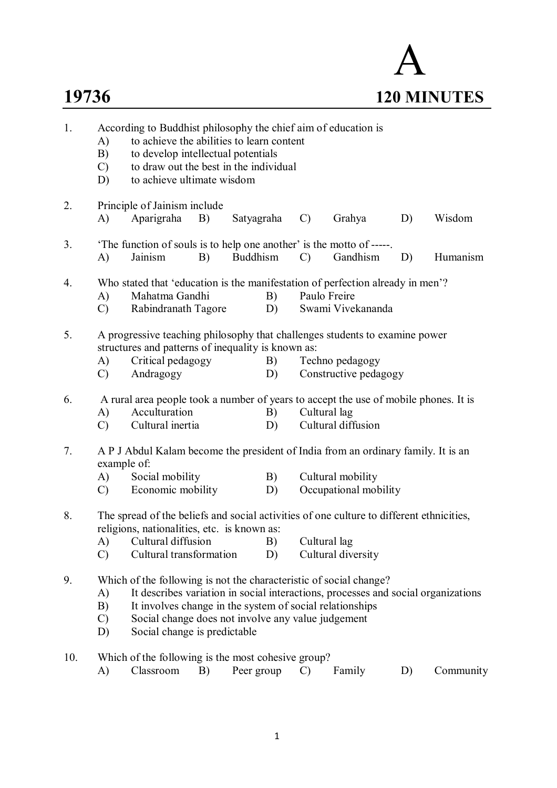## A **19736 120 MINUTES**

| 1.  | According to Buddhist philosophy the chief aim of education is<br>to achieve the abilities to learn content<br>A)<br>to develop intellectual potentials<br>B)<br>to draw out the best in the individual<br>$\mathcal{C}$<br>to achieve ultimate wisdom<br>D)                                                                                 |  |  |  |  |  |
|-----|----------------------------------------------------------------------------------------------------------------------------------------------------------------------------------------------------------------------------------------------------------------------------------------------------------------------------------------------|--|--|--|--|--|
| 2.  | Principle of Jainism include<br>Aparigraha<br>Wisdom<br>A)<br>B)<br>Satyagraha<br>$\mathcal{C}$<br>Grahya<br>D)                                                                                                                                                                                                                              |  |  |  |  |  |
| 3.  | The function of souls is to help one another' is the motto of -----.<br><b>Buddhism</b><br>Gandhism<br>Humanism<br>A)<br>Jainism<br>D)<br>B)<br>$\mathcal{C}$                                                                                                                                                                                |  |  |  |  |  |
| 4.  | Who stated that 'education is the manifestation of perfection already in men'?<br>Paulo Freire<br>Mahatma Gandhi<br>B)<br>A)<br>Swami Vivekananda<br>Rabindranath Tagore<br>D)<br>$\mathcal{C}$                                                                                                                                              |  |  |  |  |  |
| 5.  | A progressive teaching philosophy that challenges students to examine power<br>structures and patterns of inequality is known as:<br>Critical pedagogy<br>A)<br>B)<br>Techno pedagogy<br>Andragogy<br>Constructive pedagogy<br>D)<br>$\mathcal{C}$                                                                                           |  |  |  |  |  |
| 6.  | A rural area people took a number of years to accept the use of mobile phones. It is<br>Acculturation<br>Cultural lag<br>A)<br>B)<br>Cultural inertia<br>Cultural diffusion<br>$\mathcal{C}$<br>D)                                                                                                                                           |  |  |  |  |  |
| 7.  | A P J Abdul Kalam become the president of India from an ordinary family. It is an<br>example of:<br>A)<br>Social mobility<br>B)<br>Cultural mobility<br>Economic mobility<br>Occupational mobility<br>$\mathcal{C}$<br>D)                                                                                                                    |  |  |  |  |  |
| 8.  | The spread of the beliefs and social activities of one culture to different ethnicities,<br>religions, nationalities, etc. is known as:<br>A) Cultural diffusion B)<br>Cultural lag<br>Cultural transformation<br>$\mathcal{C}$<br>D)<br>Cultural diversity                                                                                  |  |  |  |  |  |
| 9.  | Which of the following is not the characteristic of social change?<br>It describes variation in social interactions, processes and social organizations<br>A)<br>B)<br>It involves change in the system of social relationships<br>Social change does not involve any value judgement<br>$\mathcal{C}$<br>Social change is predictable<br>D) |  |  |  |  |  |
| 10. | Which of the following is the most cohesive group?<br>A)<br>Classroom<br>Peer group<br>Family<br>Community<br>B)<br>$\mathcal{C}$<br>D)                                                                                                                                                                                                      |  |  |  |  |  |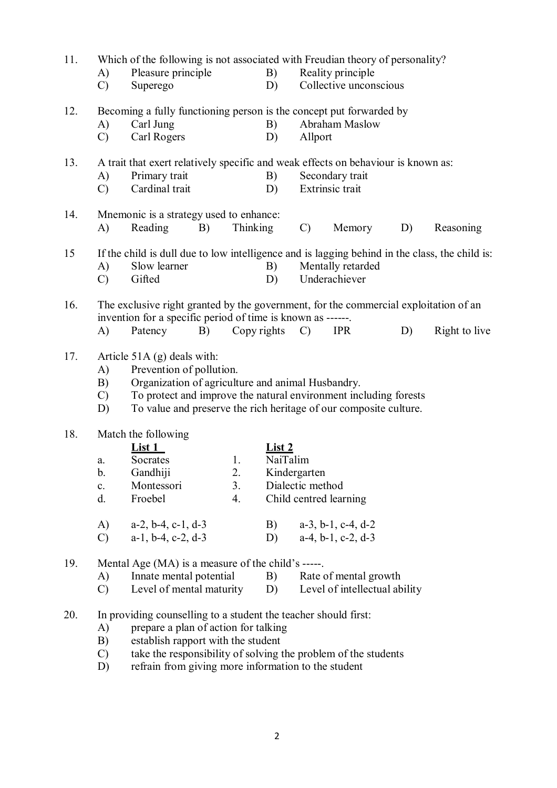| 11. |                | Which of the following is not associated with Freudian theory of personality?        |    |                 |               |                  |                               |    |                                                                                                |  |
|-----|----------------|--------------------------------------------------------------------------------------|----|-----------------|---------------|------------------|-------------------------------|----|------------------------------------------------------------------------------------------------|--|
|     | A)             | Pleasure principle                                                                   |    |                 | B)            |                  | Reality principle             |    |                                                                                                |  |
|     | $\mathcal{C}$  | Superego                                                                             |    |                 | D)            |                  | Collective unconscious        |    |                                                                                                |  |
| 12. |                | Becoming a fully functioning person is the concept put forwarded by                  |    |                 |               |                  |                               |    |                                                                                                |  |
|     | A)             | Carl Jung                                                                            |    |                 | B)            |                  | Abraham Maslow                |    |                                                                                                |  |
|     | $\mathcal{C}$  | Carl Rogers                                                                          |    |                 | D)            | Allport          |                               |    |                                                                                                |  |
| 13. |                | A trait that exert relatively specific and weak effects on behaviour is known as:    |    |                 |               |                  |                               |    |                                                                                                |  |
|     | A)             | Primary trait                                                                        |    |                 | B)            |                  | Secondary trait               |    |                                                                                                |  |
|     | $\mathcal{C}$  | Cardinal trait                                                                       |    |                 | D)            |                  | Extrinsic trait               |    |                                                                                                |  |
| 14. |                | Mnemonic is a strategy used to enhance:                                              |    |                 |               |                  |                               |    |                                                                                                |  |
|     | A)             | Reading                                                                              | B) | <b>Thinking</b> |               | $\mathcal{C}$    | Memory                        | D) | Reasoning                                                                                      |  |
| 15  |                |                                                                                      |    |                 |               |                  |                               |    | If the child is dull due to low intelligence and is lagging behind in the class, the child is: |  |
|     | A)             | Slow learner                                                                         |    |                 | B)            |                  | Mentally retarded             |    |                                                                                                |  |
|     | $\mathcal{C}$  | Gifted                                                                               |    |                 | D)            |                  | Underachiever                 |    |                                                                                                |  |
| 16. |                | The exclusive right granted by the government, for the commercial exploitation of an |    |                 |               |                  |                               |    |                                                                                                |  |
|     |                | invention for a specific period of time is known as ------.                          |    |                 |               |                  |                               |    |                                                                                                |  |
|     | A)             | Patency                                                                              | B) | Copy rights     |               | $\mathcal{C}$    | <b>IPR</b>                    | D) | Right to live                                                                                  |  |
| 17. |                | Article 51A (g) deals with:                                                          |    |                 |               |                  |                               |    |                                                                                                |  |
|     | A)             | Prevention of pollution.                                                             |    |                 |               |                  |                               |    |                                                                                                |  |
|     | B)             | Organization of agriculture and animal Husbandry.                                    |    |                 |               |                  |                               |    |                                                                                                |  |
|     | $\mathcal{C}$  | To protect and improve the natural environment including forests                     |    |                 |               |                  |                               |    |                                                                                                |  |
|     | D)             | To value and preserve the rich heritage of our composite culture.                    |    |                 |               |                  |                               |    |                                                                                                |  |
| 18. |                | Match the following                                                                  |    |                 |               |                  |                               |    |                                                                                                |  |
|     |                | List 1                                                                               |    |                 | <u>List 2</u> |                  |                               |    |                                                                                                |  |
|     | a.<br>b.       | Socrates<br>Gandhiji                                                                 |    | 1.              | NaiTalim      | Kindergarten     |                               |    |                                                                                                |  |
|     | $\mathbf{c}$ . | Montessori                                                                           |    | 2.<br>3.        |               | Dialectic method |                               |    |                                                                                                |  |
|     | d.             | Froebel                                                                              |    | 4.              |               |                  | Child centred learning        |    |                                                                                                |  |
|     |                |                                                                                      |    |                 |               |                  |                               |    |                                                                                                |  |
|     | A)             | $a-2$ , $b-4$ , $c-1$ , $d-3$                                                        |    |                 | B)            |                  | $a-3$ , $b-1$ , $c-4$ , $d-2$ |    |                                                                                                |  |
|     | $\mathcal{C}$  | $a-1$ , $b-4$ , $c-2$ , $d-3$                                                        |    |                 | D)            |                  | $a-4$ , $b-1$ , $c-2$ , $d-3$ |    |                                                                                                |  |
| 19. |                | Mental Age (MA) is a measure of the child's -----.                                   |    |                 |               |                  |                               |    |                                                                                                |  |
|     | A)             | Innate mental potential                                                              |    |                 | B)            |                  | Rate of mental growth         |    |                                                                                                |  |
|     | $\mathcal{C}$  | Level of mental maturity                                                             |    |                 | D)            |                  | Level of intellectual ability |    |                                                                                                |  |
| 20. |                | In providing counselling to a student the teacher should first:                      |    |                 |               |                  |                               |    |                                                                                                |  |
|     | A)             | prepare a plan of action for talking                                                 |    |                 |               |                  |                               |    |                                                                                                |  |
|     | B)             | establish rapport with the student                                                   |    |                 |               |                  |                               |    |                                                                                                |  |

- C) take the responsibility of solving the problem of the students
- D) refrain from giving more information to the student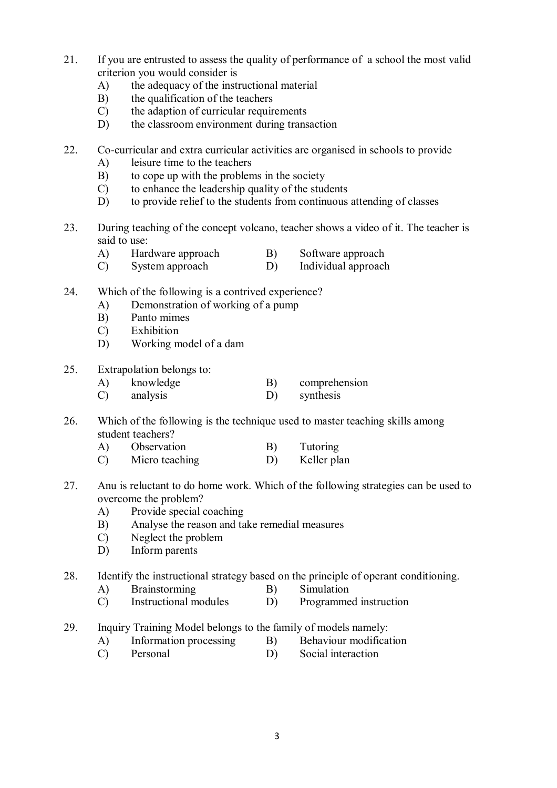- 21. If you are entrusted to assess the quality of performance of a school the most valid criterion you would consider is
	- A) the adequacy of the instructional material
	- B) the qualification of the teachers
	- C) the adaption of curricular requirements
	- D) the classroom environment during transaction
- 22. Co-curricular and extra curricular activities are organised in schools to provide
	- A) leisure time to the teachers
	- B) to cope up with the problems in the society
	- C) to enhance the leadership quality of the students
	- D) to provide relief to the students from continuous attending of classes
- 23. During teaching of the concept volcano, teacher shows a video of it. The teacher is said to use:
	- A) Hardware approach B) Software approach
	- C) System approach D) Individual approach
- 24. Which of the following is a contrived experience?
	- A) Demonstration of working of a pump
	- B) Panto mimes
	- C) Exhibition
	- D) Working model of a dam
- 25. Extrapolation belongs to:
	- A) knowledge B) comprehension
	- C) analysis D) synthesis
- 26. Which of the following is the technique used to master teaching skills among student teachers?
	- A) Observation B) Tutoring
	- C) Micro teaching D) Keller plan
- 27. Anu is reluctant to do home work. Which of the following strategies can be used to overcome the problem?
	- A) Provide special coaching
	- B) Analyse the reason and take remedial measures
	- C) Neglect the problem<br>D) Inform parents
	- Inform parents

28. Identify the instructional strategy based on the principle of operant conditioning.

- A) Brainstorming B) Simulation
- C) Instructional modules D) Programmed instruction
- 29. Inquiry Training Model belongs to the family of models namely:
	- A) Information processing B) Behaviour modification
	- C) Personal D) Social interaction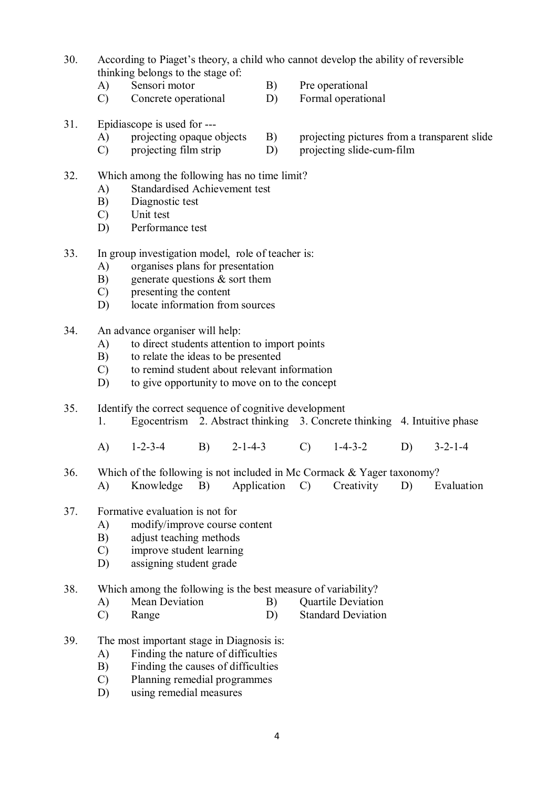- 30. According to Piaget's theory, a child who cannot develop the ability of reversible thinking belongs to the stage of:
	- A) Sensori motor B) Pre operational
	- C) Concrete operational D) Formal operational
- 31. Epidiascope is used for ---<br>A) projecting opaque objects
	-
	- C) projecting film strip D) projecting slide-cum-film
- 32. Which among the following has no time limit?
	- A) Standardised Achievement test
	- B) Diagnostic test
	- C) Unit test
	- D) Performance test
- 33. In group investigation model, role of teacher is:
	- A) organises plans for presentation
	- B) generate questions & sort them
	- C) presenting the content
	- D) locate information from sources
- 34. An advance organiser will help:
	- A) to direct students attention to import points
	- B) to relate the ideas to be presented
	- C) to remind student about relevant information
	- D) to give opportunity to move on to the concept
- 35. Identify the correct sequence of cognitive development
	- 1. Egocentrism 2. Abstract thinking 3. Concrete thinking 4. Intuitive phase
	- A) 1-2-3-4 B) 2-1-4-3 C) 1-4-3-2 D) 3-2-1-4
- 36. Which of the following is not included in Mc Cormack & Yager taxonomy? A) Knowledge B) Application C) Creativity D) Evaluation
- 37. Formative evaluation is not for
	- A) modify/improve course content
	- B) adjust teaching methods
	- C) improve student learning
	- D) assigning student grade
- 38. Which among the following is the best measure of variability?
	- A) Mean Deviation B) Quartile Deviation
	- C) Range D) Standard Deviation
- 39. The most important stage in Diagnosis is:
	- A) Finding the nature of difficulties
	- B) Finding the causes of difficulties
	- C) Planning remedial programmes
	- D) using remedial measures
- A) projecting opaque objects B) projecting pictures from a transparent slide<br>C) projecting film strip D) projecting slide-cum-film
	-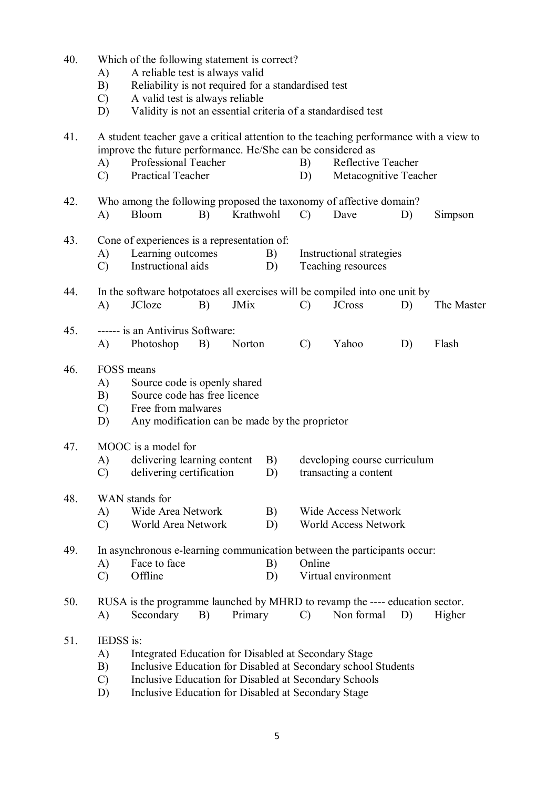| 40. | A)<br>B)<br>$\mathcal{C}$<br>D)                                                                                                                                                                                          | Which of the following statement is correct?<br>A reliable test is always valid<br>Reliability is not required for a standardised test<br>A valid test is always reliable<br>Validity is not an essential criteria of a standardised test |                                                |                                                           |                                             |            |  |
|-----|--------------------------------------------------------------------------------------------------------------------------------------------------------------------------------------------------------------------------|-------------------------------------------------------------------------------------------------------------------------------------------------------------------------------------------------------------------------------------------|------------------------------------------------|-----------------------------------------------------------|---------------------------------------------|------------|--|
| 41. | Professional Teacher<br>A)<br>$\mathcal{C}$<br>Practical Teacher                                                                                                                                                         | A student teacher gave a critical attention to the teaching performance with a view to<br>improve the future performance. He/She can be considered as                                                                                     |                                                |                                                           | Reflective Teacher<br>Metacognitive Teacher |            |  |
| 42. | Who among the following proposed the taxonomy of affective domain?<br>Bloom<br>B)<br>A)                                                                                                                                  | Krathwohl                                                                                                                                                                                                                                 | $\mathcal{C}$                                  | Dave                                                      | D)                                          | Simpson    |  |
| 43. | Cone of experiences is a representation of:<br>Learning outcomes<br>A)<br>Instructional aids<br>$\mathcal{C}$                                                                                                            | B)<br>D)                                                                                                                                                                                                                                  | Instructional strategies<br>Teaching resources |                                                           |                                             |            |  |
| 44. | In the software hotpotatoes all exercises will be compiled into one unit by<br>JCloze<br>A)<br>B)                                                                                                                        | <b>JMix</b>                                                                                                                                                                                                                               | $\mathcal{C}$                                  | <b>JCross</b>                                             | D)                                          | The Master |  |
| 45. | ------ is an Antivirus Software:<br>A)<br>B)<br>Photoshop                                                                                                                                                                | Norton                                                                                                                                                                                                                                    | $\mathcal{C}$                                  | Yahoo                                                     | D)                                          | Flash      |  |
| 46. | FOSS means<br>A)<br>B)<br>Free from malwares<br>$\mathcal{C}$<br>D)                                                                                                                                                      | Source code is openly shared<br>Source code has free licence<br>Any modification can be made by the proprietor                                                                                                                            |                                                |                                                           |                                             |            |  |
| 47. | MOOC is a model for<br>delivering learning content<br>A)<br>C)<br>delivering certification                                                                                                                               | B)<br>D)                                                                                                                                                                                                                                  |                                                | developing course curriculum<br>transacting a content     |                                             |            |  |
| 48. | WAN stands for<br>Wide Area Network<br>A)<br>$\mathcal{C}$<br>World Area Network                                                                                                                                         | B)<br>D)                                                                                                                                                                                                                                  |                                                | <b>Wide Access Network</b><br><b>World Access Network</b> |                                             |            |  |
| 49. | In asynchronous e-learning communication between the participants occur:<br>Face to face<br>A)<br>Offline<br>$\mathcal{C}$                                                                                               | B)<br>D)                                                                                                                                                                                                                                  | Online                                         | Virtual environment                                       |                                             |            |  |
| 50. | RUSA is the programme launched by MHRD to revamp the ---- education sector.<br>Secondary<br>B)<br>A)                                                                                                                     | Primary                                                                                                                                                                                                                                   | $\mathcal{C}$                                  | Non formal                                                | D)                                          | Higher     |  |
| 51. | IEDSS is:<br>A)<br>Integrated Education for Disabled at Secondary Stage<br>B)<br>Inclusive Education for Disabled at Secondary school Students<br>Inclusive Education for Disabled at Secondary Schools<br>$\mathcal{C}$ |                                                                                                                                                                                                                                           |                                                |                                                           |                                             |            |  |

D) Inclusive Education for Disabled at Secondary Stage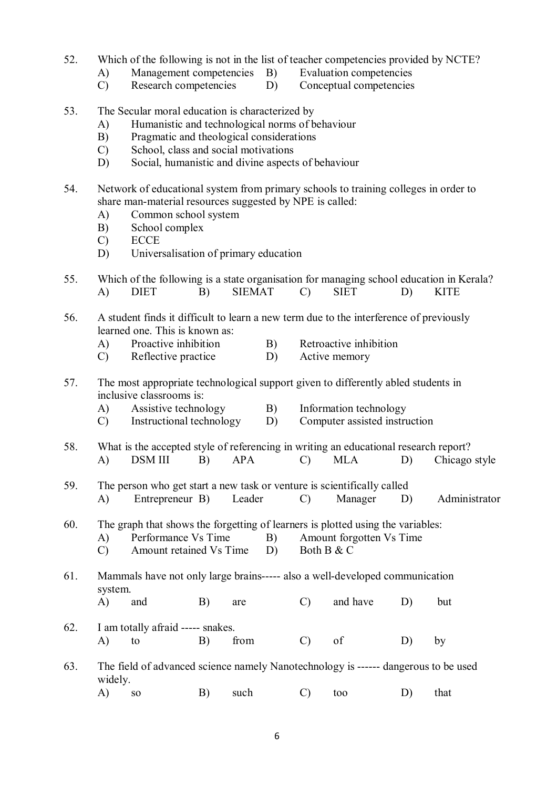- 52. Which of the following is not in the list of teacher competencies provided by NCTE?
	- A) Management competencies B) Evaluation competencies
	- C) Research competencies D) Conceptual competencies
- 53. The Secular moral education is characterized by
	- A) Humanistic and technological norms of behaviour
	- B) Pragmatic and theological considerations
	- C) School, class and social motivations
	- D) Social, humanistic and divine aspects of behaviour
- 54. Network of educational system from primary schools to training colleges in order to share man-material resources suggested by NPE is called:
	- A) Common school system
	- B) School complex
	- C) ECCE
	- D) Universalisation of primary education
- 55. Which of the following is a state organisation for managing school education in Kerala? A) DIET B) SIEMAT C) SIET D) KITE
- 56. A student finds it difficult to learn a new term due to the interference of previously learned one. This is known as:<br>A) Proactive inhibition
	- A) Proactive inhibition B) Retroactive inhibition
	- C) Reflective practice D) Active memory
- 57. The most appropriate technological support given to differently abled students in inclusive classrooms is:
	- A) Assistive technology B) Information technology
	- C) Instructional technology D) Computer assisted instruction
- 58. What is the accepted style of referencing in writing an educational research report?
	- A) DSM III B) APA C) MLA D) Chicago style
- 59. The person who get start a new task or venture is scientifically called A) Entrepreneur B) Leader C) Manager D) Administrator
- 60. The graph that shows the forgetting of learners is plotted using the variables:
	- A) Performance Vs Time B) Amount forgotten Vs Time<br>
	C) Amount retained Vs Time D) Both B & C Amount retained Vs Time
- 61. Mammals have not only large brains----- also a well-developed communication system.
- A) and B) are C) and have D) but 62. I am totally afraid ----- snakes.
	- A) to B) from C) of D) by
- 63. The field of advanced science namely Nanotechnology is ------ dangerous to be used widely.
	- A) so B) such C) too D) that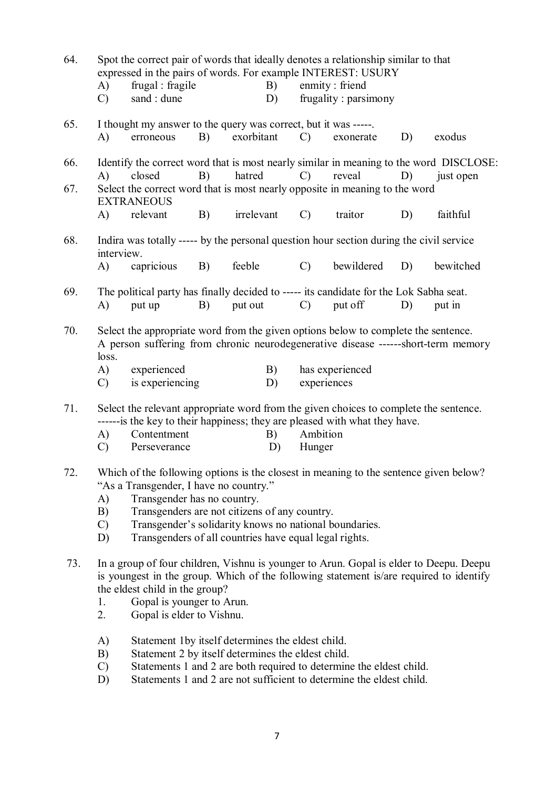| 64. | Spot the correct pair of words that ideally denotes a relationship similar to that<br>expressed in the pairs of words. For example INTEREST: USURY                                                                                                    |                                                                                                                                                                         |    |            |    |                 |                      |    |                                                                                        |
|-----|-------------------------------------------------------------------------------------------------------------------------------------------------------------------------------------------------------------------------------------------------------|-------------------------------------------------------------------------------------------------------------------------------------------------------------------------|----|------------|----|-----------------|----------------------|----|----------------------------------------------------------------------------------------|
|     | A)                                                                                                                                                                                                                                                    | frugal : fragile                                                                                                                                                        |    |            | B) |                 | enmity: friend       |    |                                                                                        |
|     | $\mathcal{C}$                                                                                                                                                                                                                                         | sand : dune                                                                                                                                                             |    |            | D) |                 | frugality: parsimony |    |                                                                                        |
| 65. |                                                                                                                                                                                                                                                       | I thought my answer to the query was correct, but it was -----                                                                                                          |    |            |    |                 |                      |    |                                                                                        |
|     | A)                                                                                                                                                                                                                                                    | erroneous                                                                                                                                                               | B) | exorbitant |    | $\mathcal{C}$   | exonerate            | D) | exodus                                                                                 |
| 66. |                                                                                                                                                                                                                                                       |                                                                                                                                                                         |    |            |    |                 |                      |    | Identify the correct word that is most nearly similar in meaning to the word DISCLOSE: |
|     | $\bf{A}$                                                                                                                                                                                                                                              | closed                                                                                                                                                                  | B) | hatred     |    | $\mathcal{C}$   | reveal               | D) | just open                                                                              |
| 67. |                                                                                                                                                                                                                                                       | Select the correct word that is most nearly opposite in meaning to the word<br><b>EXTRANEOUS</b>                                                                        |    |            |    |                 |                      |    |                                                                                        |
|     | A)                                                                                                                                                                                                                                                    | relevant                                                                                                                                                                | B) | irrelevant |    | $\mathcal{C}$   | traitor              | D) | faithful                                                                               |
| 68. | interview.                                                                                                                                                                                                                                            | Indira was totally ----- by the personal question hour section during the civil service                                                                                 |    |            |    |                 |                      |    |                                                                                        |
|     | A)                                                                                                                                                                                                                                                    | capricious                                                                                                                                                              | B) | feeble     |    | $\mathcal{C}$   | bewildered           | D) | bewitched                                                                              |
| 69. |                                                                                                                                                                                                                                                       | The political party has finally decided to ----- its candidate for the Lok Sabha seat.                                                                                  |    |            |    |                 |                      |    |                                                                                        |
|     | A)                                                                                                                                                                                                                                                    | put up                                                                                                                                                                  | B) | put out    |    | $\mathcal{C}$ ) | put off              | D) | put in                                                                                 |
| 70. | loss.                                                                                                                                                                                                                                                 | Select the appropriate word from the given options below to complete the sentence.<br>A person suffering from chronic neurodegenerative disease ------short-term memory |    |            |    |                 |                      |    |                                                                                        |
|     | A)                                                                                                                                                                                                                                                    | experienced                                                                                                                                                             |    |            | B) |                 | has experienced      |    |                                                                                        |
|     | $\mathcal{C}$                                                                                                                                                                                                                                         | is experiencing                                                                                                                                                         |    |            | D) | experiences     |                      |    |                                                                                        |
| 71. |                                                                                                                                                                                                                                                       | Select the relevant appropriate word from the given choices to complete the sentence.                                                                                   |    |            |    |                 |                      |    |                                                                                        |
|     | A)                                                                                                                                                                                                                                                    | ------ is the key to their happiness; they are pleased with what they have.<br>Contentment                                                                              |    |            | B) | Ambition        |                      |    |                                                                                        |
|     | $\mathcal{C}$                                                                                                                                                                                                                                         | Perseverance                                                                                                                                                            |    |            | D) | Hunger          |                      |    |                                                                                        |
| 72. |                                                                                                                                                                                                                                                       | Which of the following options is the closest in meaning to the sentence given below?                                                                                   |    |            |    |                 |                      |    |                                                                                        |
|     | A)                                                                                                                                                                                                                                                    | "As a Transgender, I have no country."<br>Transgender has no country.                                                                                                   |    |            |    |                 |                      |    |                                                                                        |
|     | B)                                                                                                                                                                                                                                                    | Transgenders are not citizens of any country.                                                                                                                           |    |            |    |                 |                      |    |                                                                                        |
|     | $\mathcal{C}$<br>D)                                                                                                                                                                                                                                   | Transgender's solidarity knows no national boundaries.<br>Transgenders of all countries have equal legal rights.                                                        |    |            |    |                 |                      |    |                                                                                        |
|     |                                                                                                                                                                                                                                                       |                                                                                                                                                                         |    |            |    |                 |                      |    |                                                                                        |
| 73. | In a group of four children, Vishnu is younger to Arun. Gopal is elder to Deepu. Deepu<br>is youngest in the group. Which of the following statement is/are required to identify<br>the eldest child in the group?<br>Gopal is younger to Arun.<br>1. |                                                                                                                                                                         |    |            |    |                 |                      |    |                                                                                        |
|     | 2.                                                                                                                                                                                                                                                    | Gopal is elder to Vishnu.                                                                                                                                               |    |            |    |                 |                      |    |                                                                                        |
|     | A)<br>B)<br>$\mathcal{C}$                                                                                                                                                                                                                             | Statement 1by itself determines the eldest child.<br>Statement 2 by itself determines the eldest child.                                                                 |    |            |    |                 |                      |    |                                                                                        |
|     | Statements 1 and 2 are both required to determine the eldest child.<br>Statements 1 and 2 are not sufficient to determine the eldest child.<br>D)                                                                                                     |                                                                                                                                                                         |    |            |    |                 |                      |    |                                                                                        |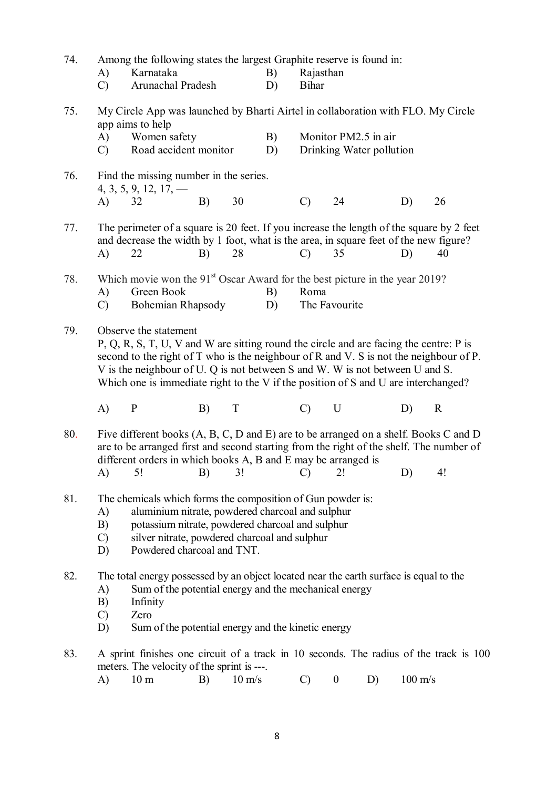| 74. | A)<br>$\mathcal{C}$                                                                                                                                                                                                                                                                   | Among the following states the largest Graphite reserve is found in:<br>Karnataka<br>Arunachal Pradesh                                                                                                                                                                                                                                                                              |    |                  | B)<br>D) | Rajasthan<br><b>Bihar</b> |                  |                                                  |                   |             |
|-----|---------------------------------------------------------------------------------------------------------------------------------------------------------------------------------------------------------------------------------------------------------------------------------------|-------------------------------------------------------------------------------------------------------------------------------------------------------------------------------------------------------------------------------------------------------------------------------------------------------------------------------------------------------------------------------------|----|------------------|----------|---------------------------|------------------|--------------------------------------------------|-------------------|-------------|
| 75. | A)<br>$\mathcal{C}$                                                                                                                                                                                                                                                                   | My Circle App was launched by Bharti Airtel in collaboration with FLO. My Circle<br>app aims to help<br>Women safety<br>Road accident monitor                                                                                                                                                                                                                                       |    |                  | B)<br>D) |                           |                  | Monitor PM2.5 in air<br>Drinking Water pollution |                   |             |
| 76. | A)                                                                                                                                                                                                                                                                                    | Find the missing number in the series.<br>$4, 3, 5, 9, 12, 17, -$<br>32                                                                                                                                                                                                                                                                                                             | B) | 30               |          | $\mathcal{C}$             | 24               |                                                  | D)                | 26          |
| 77. | A)                                                                                                                                                                                                                                                                                    | The perimeter of a square is 20 feet. If you increase the length of the square by 2 feet<br>and decrease the width by 1 foot, what is the area, in square feet of the new figure?<br>22                                                                                                                                                                                             | B) | 28               |          | $\mathcal{C}$             | 35               |                                                  | D)                | 40          |
| 78. | A)<br>$\mathcal{C}$                                                                                                                                                                                                                                                                   | Which movie won the 91 <sup>st</sup> Oscar Award for the best picture in the year 2019?<br>Green Book<br>Bohemian Rhapsody                                                                                                                                                                                                                                                          |    |                  | B)<br>D) | Roma                      | The Favourite    |                                                  |                   |             |
| 79. |                                                                                                                                                                                                                                                                                       | Observe the statement<br>$P, Q, R, S, T, U, V$ and W are sitting round the circle and are facing the centre: $P$ is<br>second to the right of T who is the neighbour of R and V. S is not the neighbour of P.<br>V is the neighbour of U. Q is not between S and W. W is not between U and S.<br>Which one is immediate right to the V if the position of S and U are interchanged? |    |                  |          |                           |                  |                                                  |                   |             |
|     | A)                                                                                                                                                                                                                                                                                    | $\mathbf{P}$                                                                                                                                                                                                                                                                                                                                                                        | B) | T                |          | $\mathcal{C}$             | $\mathbf U$      |                                                  | D)                | $\mathbf R$ |
| 80. | $\mathbf{A}$                                                                                                                                                                                                                                                                          | Five different books (A, B, C, D and E) are to be arranged on a shelf. Books C and D<br>are to be arranged first and second starting from the right of the shelf. The number of<br>different orders in which books A, B and E may be arranged is<br>5!                                                                                                                              | B) | 3!               |          | $\mathcal{C}$             | 2!               |                                                  | D)                | 4!          |
| 81. | The chemicals which forms the composition of Gun powder is:<br>aluminium nitrate, powdered charcoal and sulphur<br>A)<br>potassium nitrate, powdered charcoal and sulphur<br>B)<br>silver nitrate, powdered charcoal and sulphur<br>$\mathcal{C}$<br>Powdered charcoal and TNT.<br>D) |                                                                                                                                                                                                                                                                                                                                                                                     |    |                  |          |                           |                  |                                                  |                   |             |
| 82. | A)<br>B)<br>$\mathcal{C}$<br>D)                                                                                                                                                                                                                                                       | The total energy possessed by an object located near the earth surface is equal to the<br>Sum of the potential energy and the mechanical energy<br>Infinity<br>Zero<br>Sum of the potential energy and the kinetic energy                                                                                                                                                           |    |                  |          |                           |                  |                                                  |                   |             |
| 83. | A)                                                                                                                                                                                                                                                                                    | A sprint finishes one circuit of a track in 10 seconds. The radius of the track is 100<br>meters. The velocity of the sprint is ---.<br>10 <sub>m</sub>                                                                                                                                                                                                                             | B) | $10 \text{ m/s}$ |          | $\mathcal{C}$             | $\boldsymbol{0}$ | D)                                               | $100 \text{ m/s}$ |             |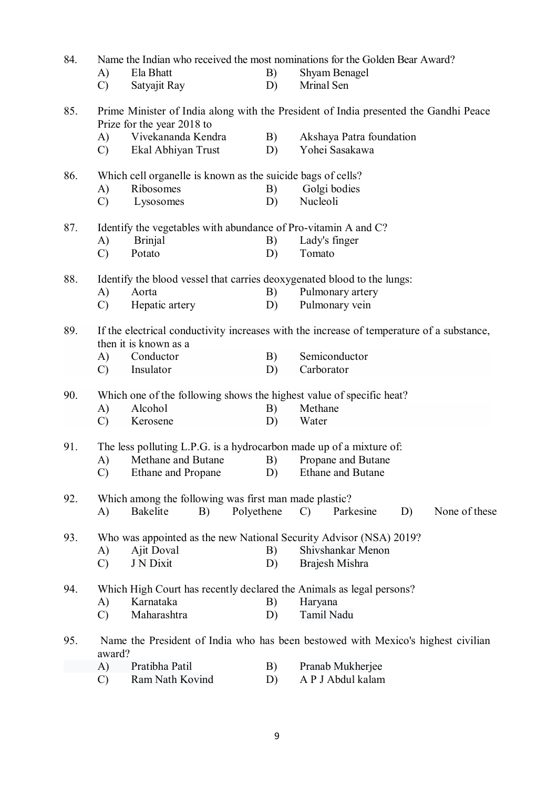| 84. | Name the Indian who received the most nominations for the Golden Bear Award? |                                                                         |            |                                                                                           |  |  |  |  |
|-----|------------------------------------------------------------------------------|-------------------------------------------------------------------------|------------|-------------------------------------------------------------------------------------------|--|--|--|--|
|     | A)                                                                           | Ela Bhatt                                                               | B)         | Shyam Benagel                                                                             |  |  |  |  |
|     | $\mathcal{C}$                                                                | Satyajit Ray                                                            | D)         | Mrinal Sen                                                                                |  |  |  |  |
| 85. |                                                                              | Prize for the year 2018 to                                              |            | Prime Minister of India along with the President of India presented the Gandhi Peace      |  |  |  |  |
|     | A)                                                                           | Vivekananda Kendra                                                      | B)         | Akshaya Patra foundation                                                                  |  |  |  |  |
|     | $\mathcal{C}$                                                                | Ekal Abhiyan Trust                                                      | D)         | Yohei Sasakawa                                                                            |  |  |  |  |
| 86. |                                                                              | Which cell organelle is known as the suicide bags of cells?             |            |                                                                                           |  |  |  |  |
|     | A)                                                                           | Ribosomes                                                               | B)         | Golgi bodies                                                                              |  |  |  |  |
|     | $\mathcal{C}$                                                                | Lysosomes                                                               | D)         | Nucleoli                                                                                  |  |  |  |  |
| 87. |                                                                              | Identify the vegetables with abundance of Pro-vitamin A and C?          |            |                                                                                           |  |  |  |  |
|     | A)                                                                           | <b>Brinjal</b>                                                          | B)         | Lady's finger                                                                             |  |  |  |  |
|     | $\mathcal{C}$                                                                | Potato                                                                  | D)         | Tomato                                                                                    |  |  |  |  |
| 88. |                                                                              | Identify the blood vessel that carries deoxygenated blood to the lungs: |            |                                                                                           |  |  |  |  |
|     | $\mathbf{A}$                                                                 | Aorta                                                                   | B)         | Pulmonary artery                                                                          |  |  |  |  |
|     | $\mathcal{C}$                                                                | Hepatic artery                                                          | D)         | Pulmonary vein                                                                            |  |  |  |  |
| 89. |                                                                              | then it is known as a                                                   |            | If the electrical conductivity increases with the increase of temperature of a substance, |  |  |  |  |
|     | A)                                                                           | Conductor                                                               | B)         | Semiconductor                                                                             |  |  |  |  |
|     | $\mathcal{C}$                                                                | Insulator                                                               | D)         | Carborator                                                                                |  |  |  |  |
| 90. |                                                                              | Which one of the following shows the highest value of specific heat?    |            |                                                                                           |  |  |  |  |
|     | A)                                                                           | Alcohol                                                                 | B)         | Methane                                                                                   |  |  |  |  |
|     | $\mathcal{C}$                                                                | Kerosene                                                                | D)         | Water                                                                                     |  |  |  |  |
| 91. |                                                                              | The less polluting L.P.G. is a hydrocarbon made up of a mixture of:     |            |                                                                                           |  |  |  |  |
|     | A)                                                                           | Methane and Butane                                                      | B)         | Propane and Butane                                                                        |  |  |  |  |
|     | $\mathcal{C}$                                                                | Ethane and Propane                                                      | D)         | <b>Ethane and Butane</b>                                                                  |  |  |  |  |
| 92. |                                                                              | Which among the following was first man made plastic?                   |            |                                                                                           |  |  |  |  |
|     | A)                                                                           | <b>Bakelite</b><br>B)                                                   | Polyethene | None of these<br>$\mathcal{C}$<br>Parkesine<br>D)                                         |  |  |  |  |
| 93. |                                                                              |                                                                         |            | Who was appointed as the new National Security Advisor (NSA) 2019?                        |  |  |  |  |
|     | A)                                                                           | Ajit Doval                                                              | B)         | Shivshankar Menon                                                                         |  |  |  |  |
|     | $\mathcal{C}$                                                                | J N Dixit                                                               | D)         | Brajesh Mishra                                                                            |  |  |  |  |
| 94. |                                                                              |                                                                         |            | Which High Court has recently declared the Animals as legal persons?                      |  |  |  |  |
|     | A)                                                                           | Karnataka                                                               | B)         | Haryana                                                                                   |  |  |  |  |
|     | $\mathcal{C}$                                                                | Maharashtra                                                             | D)         | Tamil Nadu                                                                                |  |  |  |  |
| 95. | award?                                                                       |                                                                         |            | Name the President of India who has been bestowed with Mexico's highest civilian          |  |  |  |  |
|     | A)                                                                           | Pratibha Patil                                                          | B)         | Pranab Mukherjee                                                                          |  |  |  |  |
|     | $\mathcal{C}$                                                                | Ram Nath Kovind                                                         | D)         | A P J Abdul kalam                                                                         |  |  |  |  |
|     |                                                                              |                                                                         |            |                                                                                           |  |  |  |  |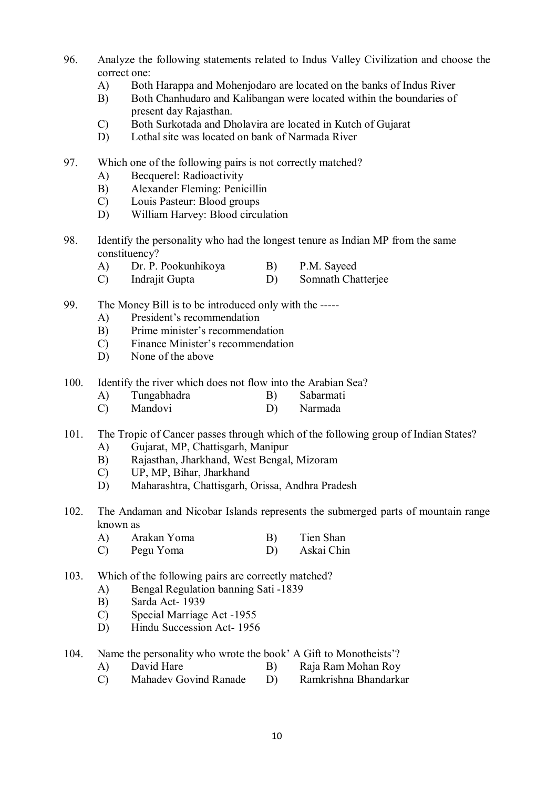- 96. Analyze the following statements related to Indus Valley Civilization and choose the correct one:
	- A) Both Harappa and Mohenjodaro are located on the banks of Indus River
	- B) Both Chanhudaro and Kalibangan were located within the boundaries of present day Rajasthan.
	- C) Both Surkotada and Dholavira are located in Kutch of Gujarat
	- D) Lothal site was located on bank of Narmada River
- 97. Which one of the following pairs is not correctly matched?
	- A) Becquerel: Radioactivity
	- B) Alexander Fleming: Penicillin
	- C) Louis Pasteur: Blood groups
	- D) William Harvey: Blood circulation
- 98. Identify the personality who had the longest tenure as Indian MP from the same constituency?
	- A) Dr. P. Pookunhikoya B) P.M. Sayeed
	- C) Indrajit Gupta D) Somnath Chatterjee
- 99. The Money Bill is to be introduced only with the -----
	- A) President's recommendation
	- B) Prime minister's recommendation
	- C) Finance Minister's recommendation
	- D) None of the above
- 100. Identify the river which does not flow into the Arabian Sea?
	- A) Tungabhadra B) Sabarmati
	- C) Mandovi D) Narmada
- 101. The Tropic of Cancer passes through which of the following group of Indian States?
	- A) Gujarat, MP, Chattisgarh, Manipur
	- B) Rajasthan, Jharkhand, West Bengal, Mizoram
	- C) UP, MP, Bihar, Jharkhand
	- D) Maharashtra, Chattisgarh, Orissa, Andhra Pradesh
- 102. The Andaman and Nicobar Islands represents the submerged parts of mountain range known as
	- A) Arakan Yoma B) Tien Shan<br>
	C) Pegu Yoma D) Askai Chin C) Pegu Yoma
- 103. Which of the following pairs are correctly matched?
	- A) Bengal Regulation banning Sati -1839
	- B) Sarda Act- 1939
	- C) Special Marriage Act -1955
	- D) Hindu Succession Act- 1956
- 104. Name the personality who wrote the book' A Gift to Monotheists'?
	- A) David Hare B) Raja Ram Mohan Roy
	- C) Mahadev Govind Ranade D) Ramkrishna Bhandarkar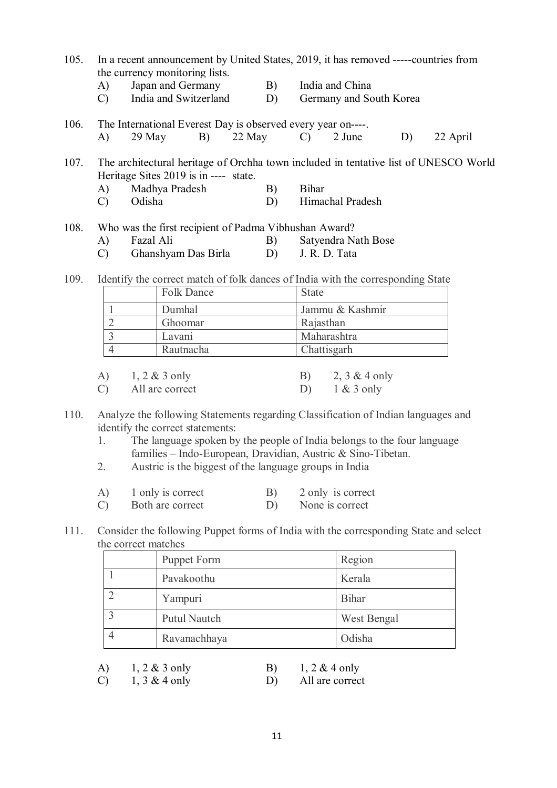- 105. In a recent announcement by United States, 2019, it has removed -----countries from the currency monitoring lists.
	- A) Japan and Germany B) India and China
	- C) India and Switzerland D) Germany and South Korea
- 106. The International Everest Day is observed every year on----. A) 29 May B) 22 May C) 2 June D) 22 April

107. The architectural heritage of Orchha town included in tentative list of UNESCO World Heritage Sites 2019 is in ---- state.

- A) Madhya Pradesh B) Bihar
- C) Odisha D) Himachal Pradesh
- 108. Who was the first recipient of Padma Vibhushan Award? A) Fazal Ali B) Satyendra Nath Bose
	- C) Ghanshyam Das Birla D) J. R. D. Tata
- 109. Identify the correct match of folk dances of India with the corresponding State

|               |                              |                 | <b>Folk Dance</b> |                 | <b>State</b>    |             |  |  |
|---------------|------------------------------|-----------------|-------------------|-----------------|-----------------|-------------|--|--|
|               | Dumhal                       |                 |                   |                 | Jammu & Kashmir |             |  |  |
|               |                              |                 | Ghoomar           |                 | Rajasthan       |             |  |  |
|               | Lavani                       |                 |                   | Maharashtra     |                 |             |  |  |
|               |                              |                 | Rautnacha         |                 |                 | Chattisgarh |  |  |
|               |                              |                 |                   |                 |                 |             |  |  |
|               | $1, 2 \& 3$ only<br>$\bf{A}$ |                 | B)                | 2, $3 & 4$ only |                 |             |  |  |
| $\mathcal{C}$ |                              | All are correct |                   | D)              | $1 & 3$ only    |             |  |  |

- 110. Analyze the following Statements regarding Classification of Indian languages and identify the correct statements:
	- 1. The language spoken by the people of India belongs to the four language families – Indo-European, Dravidian, Austric & Sino-Tibetan.
	- 2. Austric is the biggest of the language groups in India
	- A) 1 only is correct B) 2 only is correct
	- C) Both are correct D) None is correct
- 111. Consider the following Puppet forms of India with the corresponding State and select the correct matches

| Puppet Form  | Region       |
|--------------|--------------|
| Pavakoothu   | Kerala       |
| Yampuri      | <b>Bihar</b> |
| Putul Nautch | West Bengal  |
| Ravanachhaya | Odisha       |

| A) | $1, 2 \& 3$ only |    | $1, 2 \& 4$ only |
|----|------------------|----|------------------|
| C) | $1, 3 \& 4$ only | D) | All are correct  |